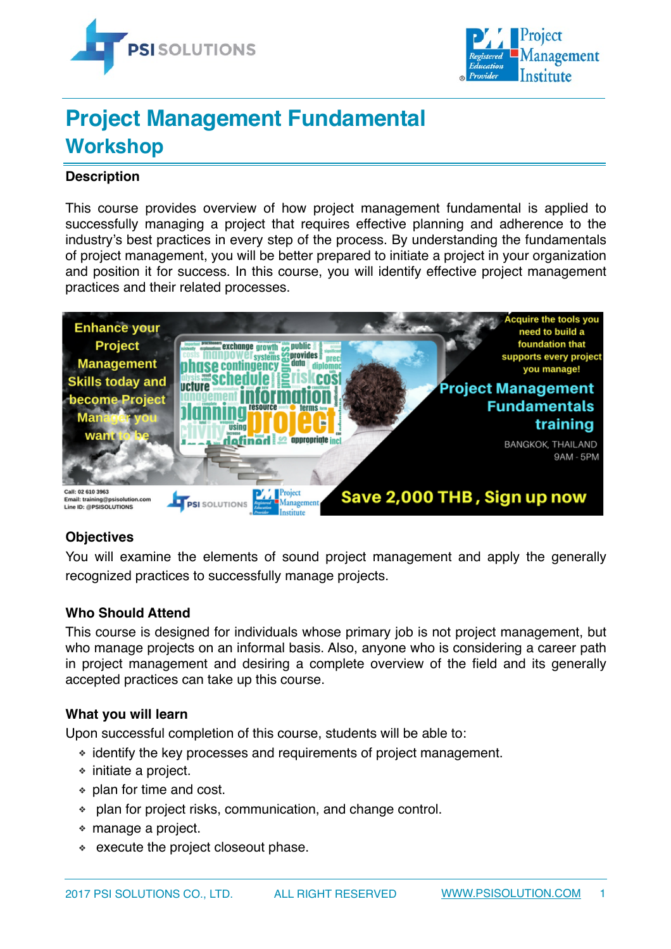



# **Project Management Fundamental Workshop**

## **Description**

This course provides overview of how project management fundamental is applied to successfully managing a project that requires effective planning and adherence to the industry's best practices in every step of the process. By understanding the fundamentals of project management, you will be better prepared to initiate a project in your organization and position it for success. In this course, you will identify effective project management practices and their related processes.



## **Objectives**

You will examine the elements of sound project management and apply the generally recognized practices to successfully manage projects.

#### **Who Should Attend**

This course is designed for individuals whose primary job is not project management, but who manage projects on an informal basis. Also, anyone who is considering a career path in project management and desiring a complete overview of the field and its generally accepted practices can take up this course.

#### **What you will learn**

Upon successful completion of this course, students will be able to:

- ❖ identify the key processes and requirements of project management.
- ❖ initiate a project.
- ❖ plan for time and cost.
- ❖ plan for project risks, communication, and change control.
- ❖ manage a project.
- ❖ execute the project closeout phase.